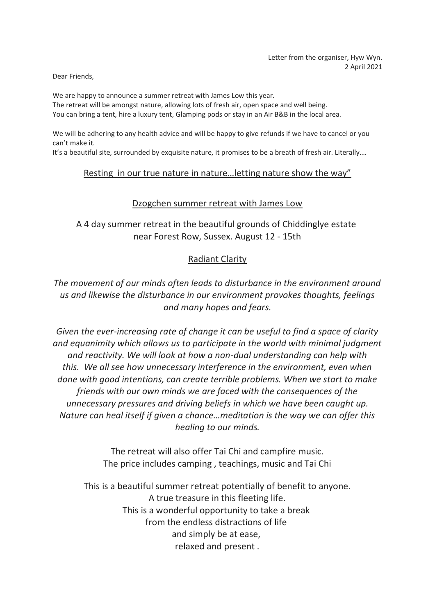Dear Friends,

We are happy to announce a summer retreat with James Low this year. The retreat will be amongst nature, allowing lots of fresh air, open space and well being. You can bring a tent, hire a luxury tent, Glamping pods or stay in an Air B&B in the local area.

We will be adhering to any health advice and will be happy to give refunds if we have to cancel or you can't make it.

It's a beautiful site, surrounded by exquisite nature, it promises to be a breath of fresh air. Literally....

## Resting in our true nature in nature…letting nature show the way"

## Dzogchen summer retreat with James Low

A 4 day summer retreat in the beautiful grounds of Chiddinglye estate near Forest Row, Sussex. August 12 - 15th

## Radiant Clarity

*The movement of our minds often leads to disturbance in the environment around us and likewise the disturbance in our environment provokes thoughts, feelings and many hopes and fears.*

*Given the ever-increasing rate of change it can be useful to find a space of clarity and equanimity which allows us to participate in the world with minimal judgment and reactivity. We will look at how a non-dual understanding can help with this. We all see how unnecessary interference in the environment, even when done with good intentions, can create terrible problems. When we start to make friends with our own minds we are faced with the consequences of the unnecessary pressures and driving beliefs in which we have been caught up. Nature can heal itself if given a chance…meditation is the way we can offer this healing to our minds.*

> The retreat will also offer Tai Chi and campfire music. The price includes camping , teachings, music and Tai Chi

This is a beautiful summer retreat potentially of benefit to anyone. A true treasure in this fleeting life. This is a wonderful opportunity to take a break from the endless distractions of life and simply be at ease, relaxed and present .